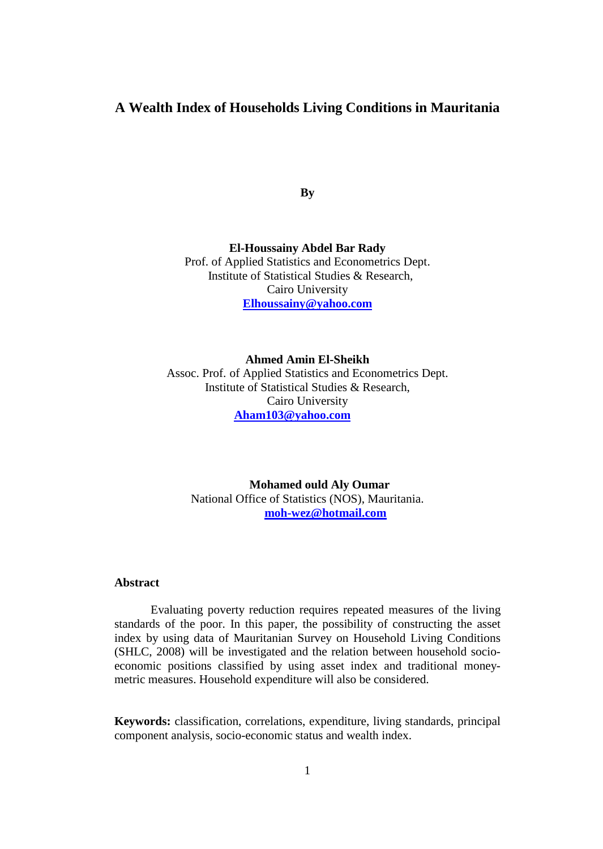# **A Wealth Index of Households Living Conditions in Mauritania**

**By**

**El-Houssainy Abdel Bar Rady** Prof. of Applied Statistics and Econometrics Dept. Institute of Statistical Studies & Research, Cairo University **[Elhoussainy@yahoo.com](mailto:Elhoussainy@yahoo.com)**

**Ahmed Amin El-Sheikh** Assoc. Prof. of Applied Statistics and Econometrics Dept. Institute of Statistical Studies & Research, Cairo University **[Aham](mailto:Aham103@yahoo.com)103@yahoo.com**

**Mohamed ould Aly Oumar** National Office of Statistics (NOS), Mauritania. **[moh-wez@hotmail.com](mailto:moh-wez@hotmail.com)**

#### **Abstract**

Evaluating poverty reduction requires repeated measures of the living standards of the poor. In this paper, the possibility of constructing the asset index by using data of Mauritanian Survey on Household Living Conditions (SHLC, 2008) will be investigated and the relation between household socioeconomic positions classified by using asset index and traditional moneymetric measures. Household expenditure will also be considered.

**Keywords:** classification, correlations, expenditure, living standards, principal component analysis, socio-economic status and wealth index.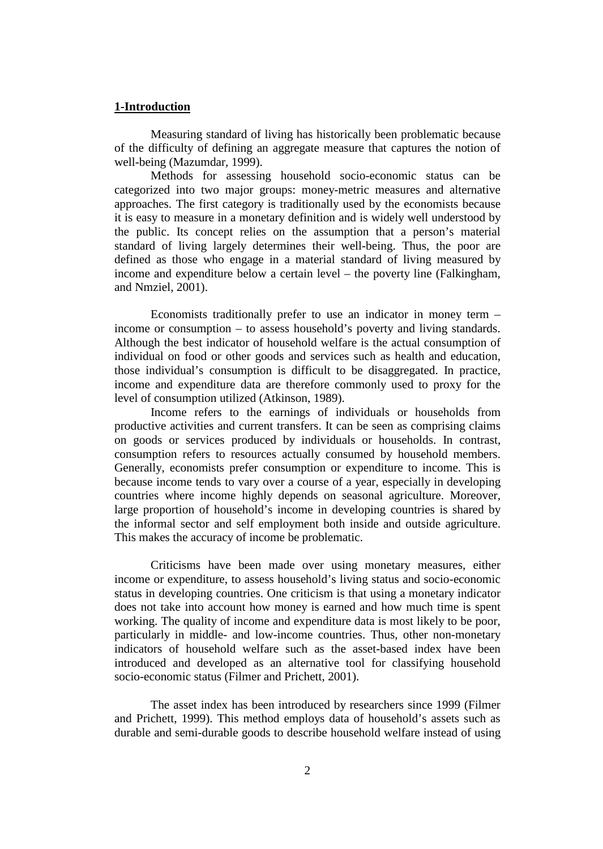### **1-Introduction**

Measuring standard of living has historically been problematic because of the difficulty of defining an aggregate measure that captures the notion of well-being (Mazumdar, 1999).

Methods for assessing household socio-economic status can be categorized into two major groups: money-metric measures and alternative approaches. The first category is traditionally used by the economists because it is easy to measure in a monetary definition and is widely well understood by the public. Its concept relies on the assumption that a person's material standard of living largely determines their well-being. Thus, the poor are defined as those who engage in a material standard of living measured by income and expenditure below a certain level – the poverty line (Falkingham, and Nmziel, 2001).

Economists traditionally prefer to use an indicator in money term – income or consumption – to assess household's poverty and living standards. Although the best indicator of household welfare is the actual consumption of individual on food or other goods and services such as health and education, those individual's consumption is difficult to be disaggregated. In practice, income and expenditure data are therefore commonly used to proxy for the level of consumption utilized (Atkinson, 1989).

Income refers to the earnings of individuals or households from productive activities and current transfers. It can be seen as comprising claims on goods or services produced by individuals or households. In contrast, consumption refers to resources actually consumed by household members. Generally, economists prefer consumption or expenditure to income. This is because income tends to vary over a course of a year, especially in developing countries where income highly depends on seasonal agriculture. Moreover, large proportion of household's income in developing countries is shared by the informal sector and self employment both inside and outside agriculture. This makes the accuracy of income be problematic.

Criticisms have been made over using monetary measures, either income or expenditure, to assess household's living status and socio-economic status in developing countries. One criticism is that using a monetary indicator does not take into account how money is earned and how much time is spent working. The quality of income and expenditure data is most likely to be poor, particularly in middle- and low-income countries. Thus, other non-monetary indicators of household welfare such as the asset-based index have been introduced and developed as an alternative tool for classifying household socio-economic status (Filmer and Prichett, 2001).

The asset index has been introduced by researchers since 1999 (Filmer and Prichett, 1999). This method employs data of household's assets such as durable and semi-durable goods to describe household welfare instead of using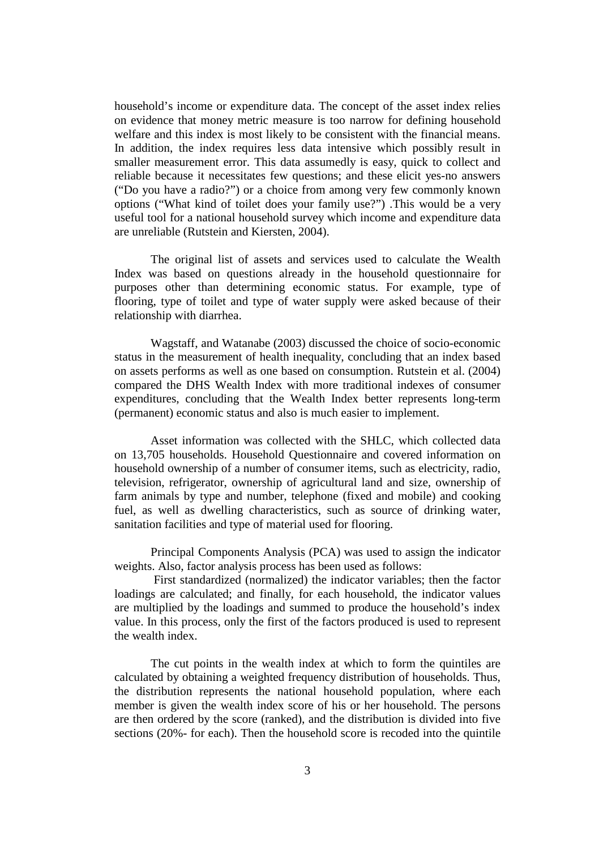household's income or expenditure data. The concept of the asset index relies on evidence that money metric measure is too narrow for defining household welfare and this index is most likely to be consistent with the financial means. In addition, the index requires less data intensive which possibly result in smaller measurement error. This data assumedly is easy, quick to collect and reliable because it necessitates few questions; and these elicit yes-no answers ("Do you have a radio?") or a choice from among very few commonly known options ("What kind of toilet does your family use?") .This would be a very useful tool for a national household survey which income and expenditure data are unreliable (Rutstein and Kiersten, 2004).

The original list of assets and services used to calculate the Wealth Index was based on questions already in the household questionnaire for purposes other than determining economic status. For example, type of flooring, type of toilet and type of water supply were asked because of their relationship with diarrhea.

Wagstaff, and Watanabe (2003) discussed the choice of socio-economic status in the measurement of health inequality, concluding that an index based on assets performs as well as one based on consumption. Rutstein et al. (2004) compared the DHS Wealth Index with more traditional indexes of consumer expenditures, concluding that the Wealth Index better represents long-term (permanent) economic status and also is much easier to implement.

Asset information was collected with the SHLC, which collected data on 13,705 households. Household Questionnaire and covered information on household ownership of a number of consumer items, such as electricity, radio, television, refrigerator, ownership of agricultural land and size, ownership of farm animals by type and number, telephone (fixed and mobile) and cooking fuel, as well as dwelling characteristics, such as source of drinking water, sanitation facilities and type of material used for flooring.

Principal Components Analysis (PCA) was used to assign the indicator weights. Also, factor analysis process has been used as follows:

First standardized (normalized) the indicator variables; then the factor loadings are calculated; and finally, for each household, the indicator values are multiplied by the loadings and summed to produce the household's index value. In this process, only the first of the factors produced is used to represent the wealth index.

The cut points in the wealth index at which to form the quintiles are calculated by obtaining a weighted frequency distribution of households. Thus, the distribution represents the national household population, where each member is given the wealth index score of his or her household. The persons are then ordered by the score (ranked), and the distribution is divided into five sections (20%- for each). Then the household score is recoded into the quintile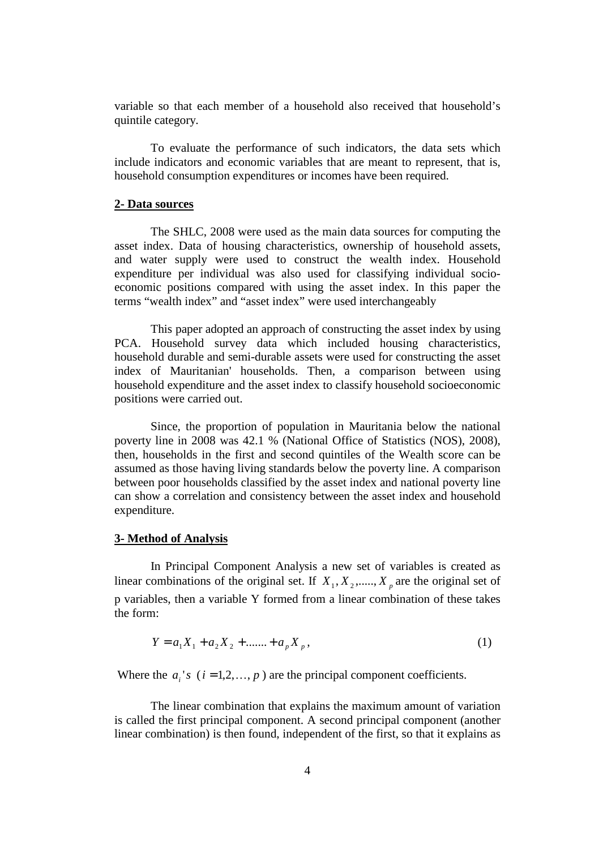variable so that each member of a household also received that household's quintile category.

To evaluate the performance of such indicators, the data sets which include indicators and economic variables that are meant to represent, that is, household consumption expenditures or incomes have been required.

#### **2- Data sources**

The SHLC, 2008 were used as the main data sources for computing the asset index. Data of housing characteristics, ownership of household assets, and water supply were used to construct the wealth index. Household expenditure per individual was also used for classifying individual socioeconomic positions compared with using the asset index. In this paper the terms "wealth index" and "asset index" were used interchangeably

This paper adopted an approach of constructing the asset index by using PCA. Household survey data which included housing characteristics, household durable and semi-durable assets were used for constructing the asset index of Mauritanian' households. Then, a comparison between using household expenditure and the asset index to classify household socioeconomic positions were carried out.

Since, the proportion of population in Mauritania below the national poverty line in 2008 was 42.1 % (National Office of Statistics (NOS), 2008), then, households in the first and second quintiles of the Wealth score can be assumed as those having living standards below the poverty line. A comparison between poor households classified by the asset index and national poverty line can show a correlation and consistency between the asset index and household expenditure.

### **3- Method of Analysis**

In Principal Component Analysis a new set of variables is created as linear combinations of the original set. If  $X_1, X_2, \ldots, X_p$  are the original set of p variables, then a variable Y formed from a linear combination of these takes the form:

$$
Y = a_1 X_1 + a_2 X_2 + \dots + a_p X_p, \tag{1}
$$

Where the  $a_i$ 's  $(i = 1, 2, ..., p)$  are the principal component coefficients.

The linear combination that explains the maximum amount of variation is called the first principal component. A second principal component (another linear combination) is then found, independent of the first, so that it explains as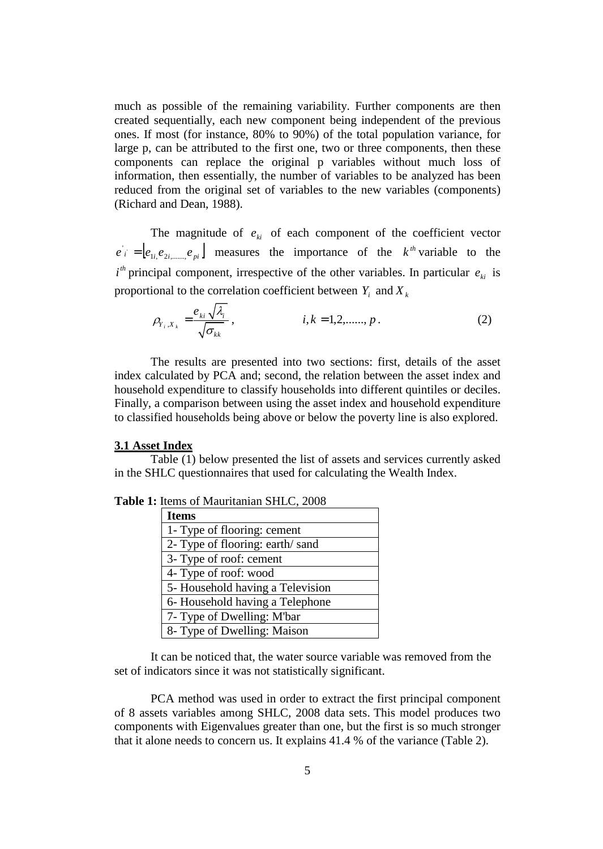much as possible of the remaining variability. Further components are then created sequentially, each new component being independent of the previous ones. If most (for instance, 80% to 90%) of the total population variance, for large p, can be attributed to the first one, two or three components, then these components can replace the original p variables without much loss of information, then essentially, the number of variables to be analyzed has been reduced from the original set of variables to the new variables (components) (Richard and Dean, 1988).

The magnitude of  $e_{ki}$  of each component of the coefficient vector  $e_i = [e_{1i}, e_{2i, \dots, k}e_{pi}]$  measures the importance of the  $k^{th}$  variable to the  $i<sup>th</sup>$  principal component, irrespective of the other variables. In particular  $e_{ki}$  is proportional to the correlation coefficient between  $Y_i$  and  $X_k$ 

$$
\rho_{Y_i, X_k} = \frac{e_{ki} \sqrt{\lambda_i}}{\sqrt{\sigma_{kk}}}, \qquad i, k = 1, 2, \dots, p. \qquad (2)
$$

The results are presented into two sections: first, details of the asset index calculated by PCA and; second, the relation between the asset index and household expenditure to classify households into different quintiles or deciles. Finally, a comparison between using the asset index and household expenditure to classified households being above or below the poverty line is also explored.

### **3.1 Asset Index**

Table (1) below presented the list of assets and services currently asked in the SHLC questionnaires that used for calculating the Wealth Index.

| Turns of Mauritanian Street, 2006 |  |  |  |  |  |
|-----------------------------------|--|--|--|--|--|
| Items                             |  |  |  |  |  |
| 1- Type of flooring: cement       |  |  |  |  |  |
| 2- Type of flooring: earth/sand   |  |  |  |  |  |
| 3- Type of roof: cement           |  |  |  |  |  |
| 4- Type of roof: wood             |  |  |  |  |  |
| 5-Household having a Television   |  |  |  |  |  |
| 6-Household having a Telephone    |  |  |  |  |  |
| 7- Type of Dwelling: M'bar        |  |  |  |  |  |
| 8- Type of Dwelling: Maison       |  |  |  |  |  |

**Table 1:** Items of Mauritanian SHLC, 2008

It can be noticed that, the water source variable was removed from the set of indicators since it was not statistically significant.

PCA method was used in order to extract the first principal component of 8 assets variables among SHLC, 2008 data sets. This model produces two components with Eigenvalues greater than one, but the first is so much stronger that it alone needs to concern us. It explains 41.4 % of the variance (Table 2).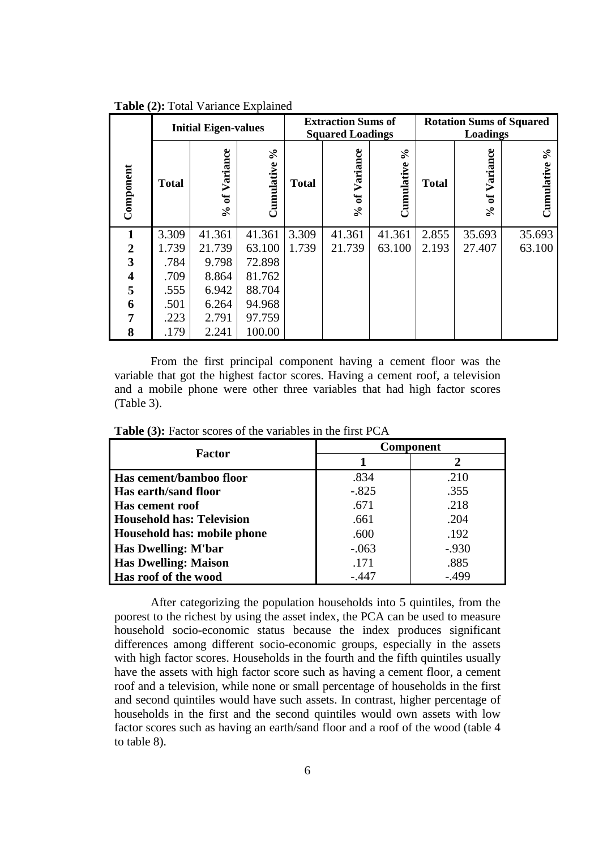|                         | <b>Initial Eigen-values</b> |                                |                        | <b>Extraction Sums of</b><br><b>Squared Loadings</b> |                                           |                        | <b>Rotation Sums of Squared</b><br><b>Loadings</b> |                                           |                 |
|-------------------------|-----------------------------|--------------------------------|------------------------|------------------------------------------------------|-------------------------------------------|------------------------|----------------------------------------------------|-------------------------------------------|-----------------|
| Component               | <b>Total</b>                | Variance<br>ð<br>$\mathcal{S}$ | $\delta$<br>Cumulative | <b>Total</b>                                         | Variance<br>್ರ<br>$\mathcal{S}_{\bullet}$ | $\aleph$<br>Cumulative | <b>Total</b>                                       | Variance<br>್ರ<br>$\mathcal{S}_{\bullet}$ | ళ<br>Cumulative |
| $\mathbf 1$             | 3.309                       | 41.361                         | 41.361                 | 3.309                                                | 41.361                                    | 41.361                 | 2.855                                              | 35.693                                    | 35.693          |
| $\overline{2}$          | 1.739                       | 21.739                         | 63.100                 | 1.739                                                | 21.739                                    | 63.100                 | 2.193                                              | 27.407                                    | 63.100          |
| 3                       | .784                        | 9.798                          | 72.898                 |                                                      |                                           |                        |                                                    |                                           |                 |
| $\overline{\mathbf{4}}$ | .709                        | 8.864                          | 81.762                 |                                                      |                                           |                        |                                                    |                                           |                 |
| 5                       | .555                        | 6.942                          | 88.704                 |                                                      |                                           |                        |                                                    |                                           |                 |
| 6                       | .501                        | 6.264                          | 94.968                 |                                                      |                                           |                        |                                                    |                                           |                 |
| 7                       | .223                        | 2.791                          | 97.759                 |                                                      |                                           |                        |                                                    |                                           |                 |
| 8                       | .179                        | 2.241                          | 100.00                 |                                                      |                                           |                        |                                                    |                                           |                 |

**Table (2):** Total Variance Explained

From the first principal component having a cement floor was the variable that got the highest factor scores. Having a cement roof, a television and a mobile phone were other three variables that had high factor scores (Table 3).

| Factor                           | <b>Component</b> |          |  |
|----------------------------------|------------------|----------|--|
|                                  |                  | 2        |  |
| Has cement/bamboo floor          | .834             | .210     |  |
| Has earth/sand floor             | $-.825$          | .355     |  |
| <b>Has cement roof</b>           | .671             | .218     |  |
| <b>Household has: Television</b> | .661             | .204     |  |
| Household has: mobile phone      | .600             | .192     |  |
| Has Dwelling: M'bar              | $-.063$          | $-0.930$ |  |
| <b>Has Dwelling: Maison</b>      | .171             | .885     |  |
| Has roof of the wood             | -.447            | -.499    |  |

**Table (3):** Factor scores of the variables in the first PCA

After categorizing the population households into 5 quintiles, from the poorest to the richest by using the asset index, the PCA can be used to measure household socio-economic status because the index produces significant differences among different socio-economic groups, especially in the assets with high factor scores. Households in the fourth and the fifth quintiles usually have the assets with high factor score such as having a cement floor, a cement roof and a television, while none or small percentage of households in the first and second quintiles would have such assets. In contrast, higher percentage of households in the first and the second quintiles would own assets with low factor scores such as having an earth/sand floor and a roof of the wood (table 4 to table 8).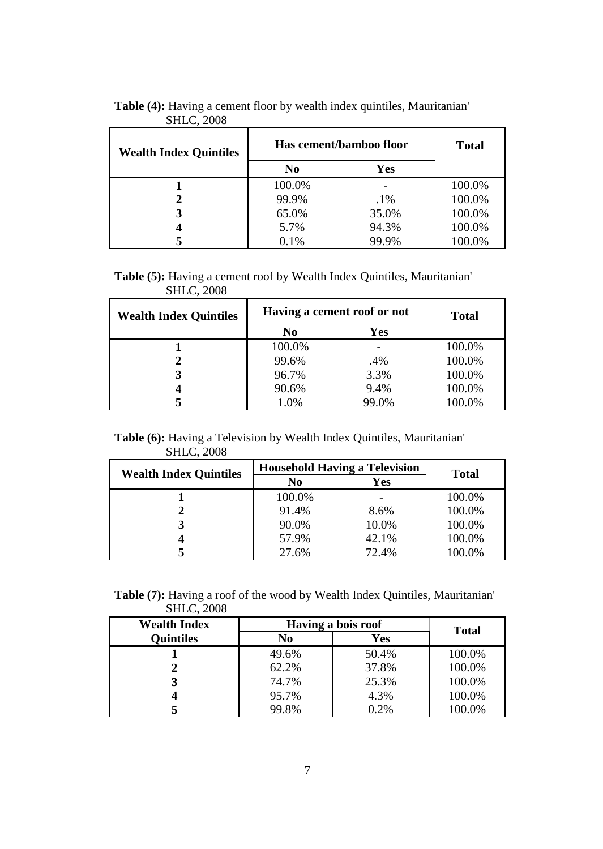| <b>Wealth Index Quintiles</b> | Has cement/bamboo floor | <b>Total</b> |        |
|-------------------------------|-------------------------|--------------|--------|
|                               | N <sub>0</sub>          | Yes          |        |
|                               | 100.0%                  |              | 100.0% |
|                               | 99.9%                   | $.1\%$       | 100.0% |
|                               | 65.0%                   | 35.0%        | 100.0% |
|                               | 5.7%                    | 94.3%        | 100.0% |
|                               | 0.1%                    | 99.9%        | 100.0% |

**Table (4):** Having a cement floor by wealth index quintiles, Mauritanian' SHLC, 2008

**Table (5):** Having a cement roof by Wealth Index Quintiles, Mauritanian' SHLC, 2008

| SHLU, ZUUO                    |                             |              |        |
|-------------------------------|-----------------------------|--------------|--------|
| <b>Wealth Index Quintiles</b> | Having a cement roof or not | <b>Total</b> |        |
|                               | No                          | <b>Yes</b>   |        |
|                               | 100.0%                      |              | 100.0% |
|                               | 99.6%                       | .4%          | 100.0% |
|                               | 96.7%                       | 3.3%         | 100.0% |
|                               | 90.6%                       | 9.4%         | 100.0% |
|                               | 1.0%                        | 99.0%        | 100.0% |

**Table (6):** Having a Television by Wealth Index Quintiles, Mauritanian' SHLC, 2008

| <b>Wealth Index Quintiles</b> | <b>Household Having a Television</b> | <b>Total</b> |        |
|-------------------------------|--------------------------------------|--------------|--------|
|                               | N <sub>0</sub><br>Yes                |              |        |
|                               | 100.0%                               |              | 100.0% |
|                               | 91.4%                                | 8.6%         | 100.0% |
|                               | 90.0%                                | 10.0%        | 100.0% |
|                               | 57.9%                                | 42.1%        | 100.0% |
|                               | 27.6%                                | 72.4%        | 100.0% |

**Table (7):** Having a roof of the wood by Wealth Index Quintiles, Mauritanian' SHLC, 2008

| <b>Wealth Index</b> | Having a bois roof | <b>Total</b> |        |
|---------------------|--------------------|--------------|--------|
| <b>Quintiles</b>    | No                 | Yes          |        |
|                     | 49.6%              | 50.4%        | 100.0% |
|                     | 62.2%              | 37.8%        | 100.0% |
|                     | 74.7%              | 25.3%        | 100.0% |
|                     | 95.7%              | 4.3%         | 100.0% |
|                     | 99.8%              | 0.2%         | 100.0% |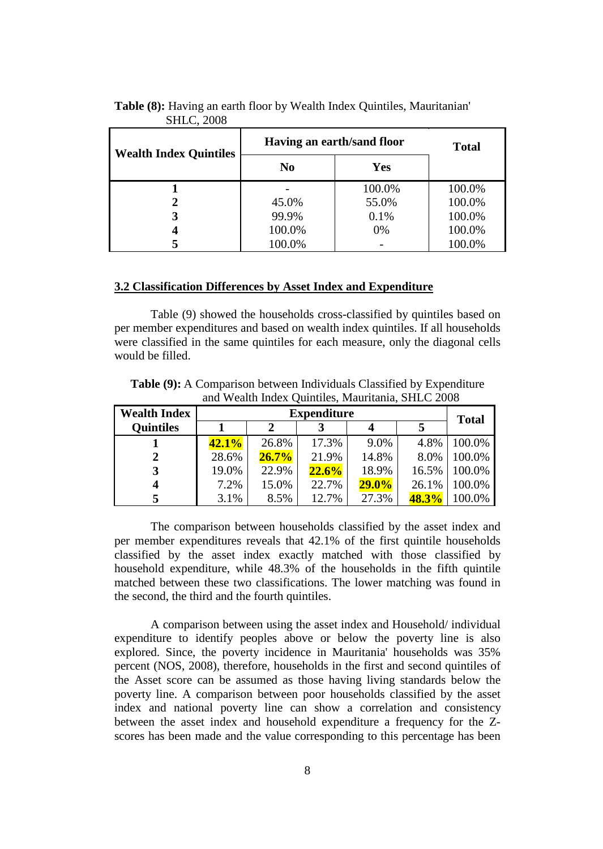| <b>Wealth Index Quintiles</b> | Having an earth/sand floor | <b>Total</b> |        |
|-------------------------------|----------------------------|--------------|--------|
|                               | N <sub>0</sub>             | <b>Yes</b>   |        |
|                               |                            | 100.0%       | 100.0% |
| 2                             | 45.0%                      | 55.0%        | 100.0% |
| 3                             | 99.9%                      | 0.1%         | 100.0% |
|                               | 100.0%                     | 0%           | 100.0% |
|                               | 100.0%                     |              | 100.0% |

# **Table (8):** Having an earth floor by Wealth Index Quintiles, Mauritanian' SHLC, 2008

## **3.2 Classification Differences by Asset Index and Expenditure**

Table (9) showed the households cross-classified by quintiles based on per member expenditures and based on wealth index quintiles. If all households were classified in the same quintiles for each measure, only the diagonal cells would be filled.

| <b>Table (9):</b> A Comparison between Individuals Classified by Expenditure |  |
|------------------------------------------------------------------------------|--|
| and Wealth Index Quintiles, Mauritania, SHLC 2008                            |  |

| <b>Wealth Index</b> | <b>Expenditure</b> |          |       |          |       | <b>Total</b> |
|---------------------|--------------------|----------|-------|----------|-------|--------------|
| <b>Quintiles</b>    |                    |          |       |          | 5     |              |
|                     | $42.1\%$           | 26.8%    | 17.3% | 9.0%     | 4.8%  | 100.0%       |
|                     | 28.6%              | $26.7\%$ | 21.9% | 14.8%    | 8.0%  | 100.0%       |
|                     | 19.0%              | 22.9%    | 22.6% | 18.9%    | 16.5% | 100.0%       |
|                     | 7.2%               | 15.0%    | 22.7% | $29.0\%$ | 26.1% | 100.0%       |
|                     | 3.1%               | 8.5%     | 12.7% | 27.3%    | 48.3% | 100.0%       |

The comparison between households classified by the asset index and per member expenditures reveals that 42.1% of the first quintile households classified by the asset index exactly matched with those classified by household expenditure, while 48.3% of the households in the fifth quintile matched between these two classifications. The lower matching was found in the second, the third and the fourth quintiles.

A comparison between using the asset index and Household/ individual expenditure to identify peoples above or below the poverty line is also explored. Since, the poverty incidence in Mauritania' households was 35% percent (NOS, 2008), therefore, households in the first and second quintiles of the Asset score can be assumed as those having living standards below the poverty line. A comparison between poor households classified by the asset index and national poverty line can show a correlation and consistency between the asset index and household expenditure a frequency for the Zscores has been made and the value corresponding to this percentage has been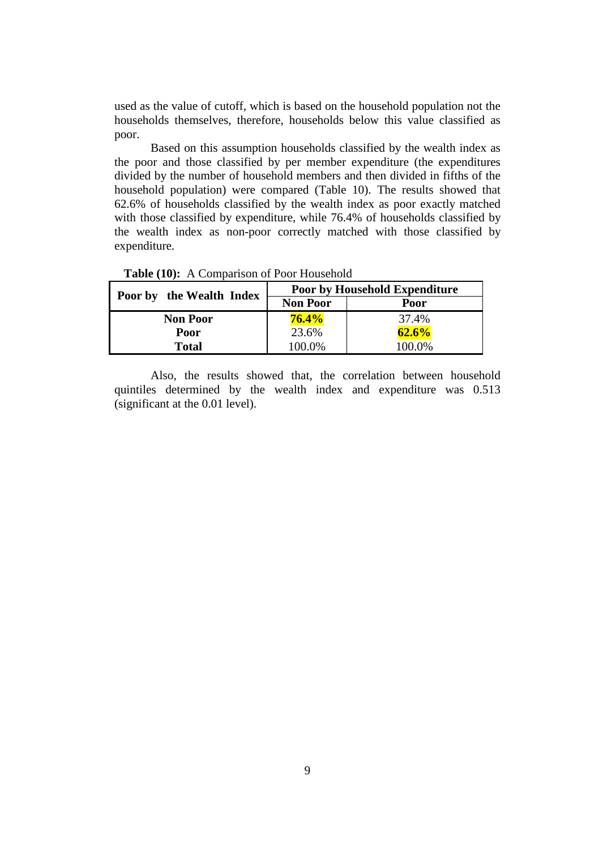used as the value of cutoff, which is based on the household population not the households themselves, therefore, households below this value classified as poor.

Based on this assumption households classified by the wealth index as the poor and those classified by per member expenditure (the expenditures divided by the number of household members and then divided in fifths of the household population) were compared (Table 10). The results showed that 62.6% of households classified by the wealth index as poor exactly matched with those classified by expenditure, while 76.4% of households classified by the wealth index as non-poor correctly matched with those classified by expenditure.

| Poor by the Wealth Index | <b>Poor by Household Expenditure</b> |        |  |  |
|--------------------------|--------------------------------------|--------|--|--|
|                          | <b>Non Poor</b>                      | Poor   |  |  |
| <b>Non Poor</b>          | $76.4\%$                             | 37.4%  |  |  |
| Poor                     | 23.6%                                | 62.6%  |  |  |
| Total                    | 100.0%                               | 100.0% |  |  |

**Table (10):** A Comparison of Poor Household

Also, the results showed that, the correlation between household quintiles determined by the wealth index and expenditure was 0.513 (significant at the 0.01 level).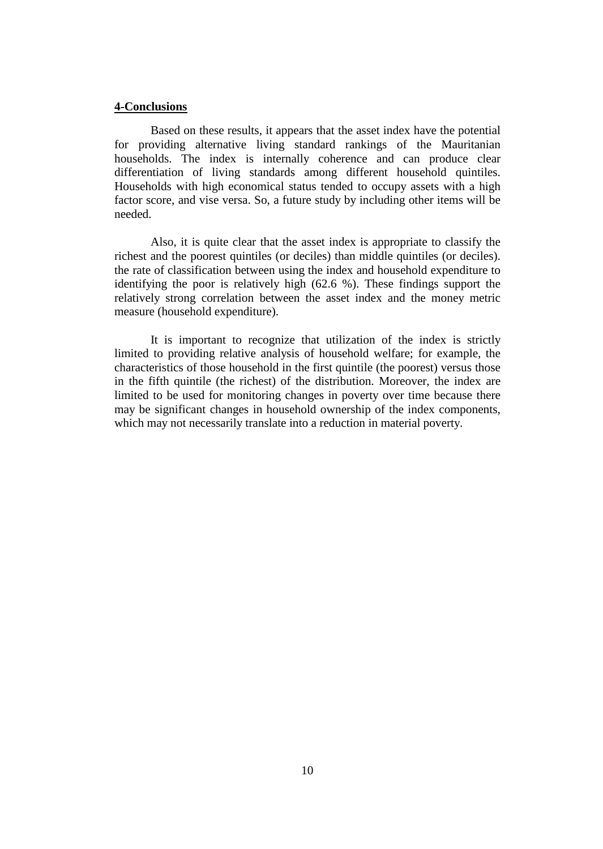#### **4-Conclusions**

Based on these results, it appears that the asset index have the potential for providing alternative living standard rankings of the Mauritanian households. The index is internally coherence and can produce clear differentiation of living standards among different household quintiles. Households with high economical status tended to occupy assets with a high factor score, and vise versa. So, a future study by including other items will be needed.

Also, it is quite clear that the asset index is appropriate to classify the richest and the poorest quintiles (or deciles) than middle quintiles (or deciles). the rate of classification between using the index and household expenditure to identifying the poor is relatively high (62.6 %). These findings support the relatively strong correlation between the asset index and the money metric measure (household expenditure).

It is important to recognize that utilization of the index is strictly limited to providing relative analysis of household welfare; for example, the characteristics of those household in the first quintile (the poorest) versus those in the fifth quintile (the richest) of the distribution. Moreover, the index are limited to be used for monitoring changes in poverty over time because there may be significant changes in household ownership of the index components, which may not necessarily translate into a reduction in material poverty.